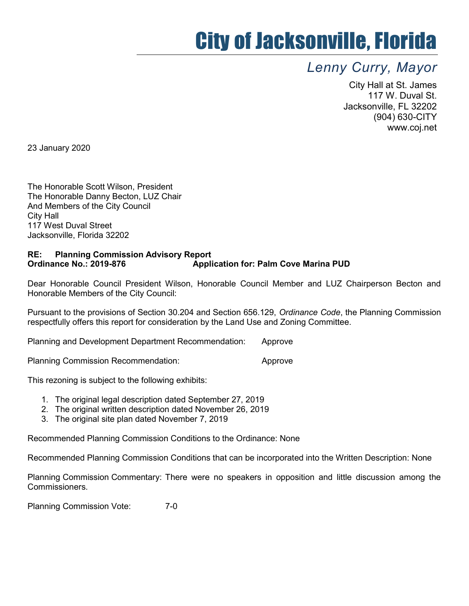## City of Jacksonville, Florida

## Lenny Curry, Mayor

City Hall at St. James 117 W. Duval St. Jacksonville, FL 32202 (904) 630-CITY www.coj.net

23 January 2020

The Honorable Scott Wilson, President The Honorable Danny Becton, LUZ Chair And Members of the City Council City Hall 117 West Duval Street Jacksonville, Florida 32202

## RE: Planning Commission Advisory Report Ordinance No.: 2019-876 Application for: Palm Cove Marina PUD

Dear Honorable Council President Wilson, Honorable Council Member and LUZ Chairperson Becton and Honorable Members of the City Council:

Pursuant to the provisions of Section 30.204 and Section 656.129, Ordinance Code, the Planning Commission respectfully offers this report for consideration by the Land Use and Zoning Committee.

Planning and Development Department Recommendation: Approve

Planning Commission Recommendation: The Approve

This rezoning is subject to the following exhibits:

- 1. The original legal description dated September 27, 2019
- 2. The original written description dated November 26, 2019
- 3. The original site plan dated November 7, 2019

Recommended Planning Commission Conditions to the Ordinance: None

Recommended Planning Commission Conditions that can be incorporated into the Written Description: None

Planning Commission Commentary: There were no speakers in opposition and little discussion among the Commissioners.

Planning Commission Vote: 7-0